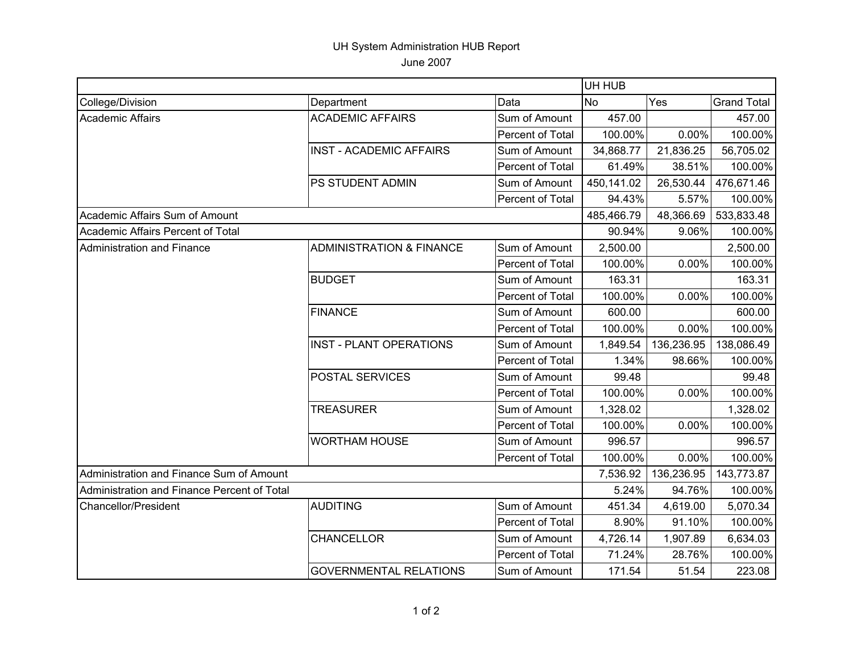## UH System Administration HUB Report June 2007

|                                             |                                     |                  | UH HUB     |            |                    |  |
|---------------------------------------------|-------------------------------------|------------------|------------|------------|--------------------|--|
| College/Division                            | Department                          | Data             | <b>No</b>  | Yes        | <b>Grand Total</b> |  |
| Academic Affairs                            | <b>ACADEMIC AFFAIRS</b>             | Sum of Amount    | 457.00     |            | 457.00             |  |
|                                             |                                     | Percent of Total | 100.00%    | 0.00%      | 100.00%            |  |
|                                             | <b>INST - ACADEMIC AFFAIRS</b>      | Sum of Amount    | 34,868.77  | 21,836.25  | 56,705.02          |  |
|                                             |                                     | Percent of Total | 61.49%     | 38.51%     | 100.00%            |  |
|                                             | PS STUDENT ADMIN                    | Sum of Amount    | 450,141.02 | 26,530.44  | 476,671.46         |  |
|                                             |                                     | Percent of Total | 94.43%     | 5.57%      | 100.00%            |  |
| Academic Affairs Sum of Amount              |                                     |                  | 485,466.79 | 48,366.69  | 533,833.48         |  |
| Academic Affairs Percent of Total           |                                     |                  | 90.94%     | 9.06%      | 100.00%            |  |
| Administration and Finance                  | <b>ADMINISTRATION &amp; FINANCE</b> | Sum of Amount    | 2,500.00   |            | 2,500.00           |  |
|                                             |                                     | Percent of Total | 100.00%    | 0.00%      | 100.00%            |  |
|                                             | <b>BUDGET</b>                       | Sum of Amount    | 163.31     |            | 163.31             |  |
|                                             |                                     | Percent of Total | 100.00%    | 0.00%      | 100.00%            |  |
|                                             | <b>FINANCE</b>                      | Sum of Amount    | 600.00     |            | 600.00             |  |
|                                             |                                     | Percent of Total | 100.00%    | 0.00%      | 100.00%            |  |
|                                             | <b>INST - PLANT OPERATIONS</b>      | Sum of Amount    | 1,849.54   | 136,236.95 | 138,086.49         |  |
|                                             |                                     | Percent of Total | 1.34%      | 98.66%     | 100.00%            |  |
|                                             | <b>POSTAL SERVICES</b>              | Sum of Amount    | 99.48      |            | 99.48              |  |
|                                             |                                     | Percent of Total | 100.00%    | 0.00%      | 100.00%            |  |
|                                             | <b>TREASURER</b>                    | Sum of Amount    | 1,328.02   |            | 1,328.02           |  |
|                                             |                                     | Percent of Total | 100.00%    | 0.00%      | 100.00%            |  |
|                                             | <b>WORTHAM HOUSE</b>                | Sum of Amount    | 996.57     |            | 996.57             |  |
|                                             |                                     | Percent of Total | 100.00%    | 0.00%      | 100.00%            |  |
| Administration and Finance Sum of Amount    |                                     |                  | 7,536.92   | 136,236.95 | 143,773.87         |  |
| Administration and Finance Percent of Total |                                     |                  | 5.24%      | 94.76%     | 100.00%            |  |
| <b>Chancellor/President</b>                 | <b>AUDITING</b>                     | Sum of Amount    | 451.34     | 4,619.00   | 5,070.34           |  |
|                                             |                                     | Percent of Total | 8.90%      | 91.10%     | 100.00%            |  |
|                                             | <b>CHANCELLOR</b>                   | Sum of Amount    | 4,726.14   | 1,907.89   | 6,634.03           |  |
|                                             |                                     | Percent of Total | 71.24%     | 28.76%     | 100.00%            |  |
|                                             | <b>GOVERNMENTAL RELATIONS</b>       | Sum of Amount    | 171.54     | 51.54      | 223.08             |  |